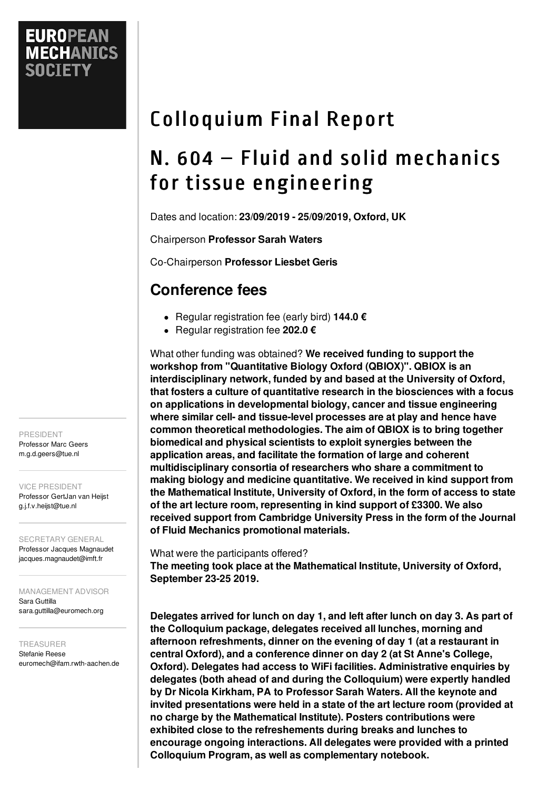# Colloquium Final Report

## N. 604 – Fluid and solid mechanics for tissue engineering

Dates and location: **23/09/2019 - 25/09/2019, Oxford, UK**

Chairperson **Professor Sarah Waters**

Co-Chairperson **Professor Liesbet Geris**

## **Conference fees**

- Regular registration fee (early bird) **144.0 €**
- Regular registration fee **202.0 €**

What other funding was obtained? **We received funding to support the workshop from "Quantitative Biology Oxford (QBIOX)". QBIOX is an interdisciplinary network, funded by and based at the University of Oxford, that fosters a culture of quantitative research in the biosciences with a focus on applications in developmental biology, cancer and tissue engineering where similar cell- and tissue-level processes are at play and hence have common theoretical methodologies. The aim of QBIOX is to bring together biomedical and physical scientists to exploit synergies between the application areas, and facilitate the formation of large and coherent multidisciplinary consortia of researchers who share a commitment to making biology and medicine quantitative. We received in kind support from the Mathematical Institute, University of Oxford, in the form of access to state of the art lecture room, representing in kind support of £3300. We also received support from Cambridge University Press in the form of the Journal of Fluid Mechanics promotional materials.**

What were the participants offered?

**The meeting took place at the Mathematical Institute, University of Oxford, September 23-25 2019.**

**Delegates arrived for lunch on day 1, and left after lunch on day 3. As part of the Colloquium package, delegates received all lunches, morning and afternoon refreshments, dinner on the evening of day 1 (at a restaurant in central Oxford), and a conference dinner on day 2 (at St Anne's College, Oxford). Delegates had access to WiFi facilities. Administrative enquiries by delegates (both ahead of and during the Colloquium) were expertly handled by Dr Nicola Kirkham, PA to Professor Sarah Waters. All the keynote and invited presentations were held in a state of the art lecture room (provided at no charge by the Mathematical Institute). Posters contributions were exhibited close to the refreshements during breaks and lunches to encourage ongoing interactions. All delegates were provided with a printed Colloquium Program, as well as complementary notebook.**

PRESIDENT Professor Marc Geers m.g.d.geers@tue.nl

VICE PRESIDENT

Professor GertJan van Heijst g.j.f.v.heijst@tue.nl

SECRETARY GENERAL

Professor Jacques Magnaudet jacques.magnaudet@imft.fr

MANAGEMENT ADVISOR Sara Guttilla sara.guttilla@euromech.org

TREASURER Stefanie Reese euromech@ifam.rwth-aachen.de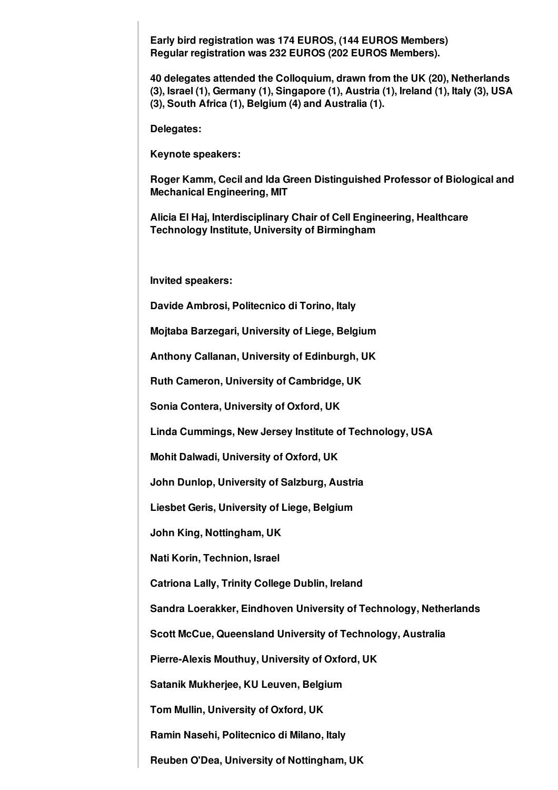**Early bird registration was 174 EUROS, (144 EUROS Members) Regular registration was 232 EUROS (202 EUROS Members).**

**40 delegates attended the Colloquium, drawn from the UK (20), Netherlands (3), Israel (1), Germany (1), Singapore (1), Austria (1), Ireland (1), Italy (3), USA (3), South Africa (1), Belgium (4) and Australia (1).**

**Delegates:**

**Keynote speakers:**

**Roger Kamm, Cecil and Ida Green Distinguished Professor of Biological and Mechanical Engineering, MIT**

**Alicia El Haj, Interdisciplinary Chair of Cell Engineering, Healthcare Technology Institute, University of Birmingham**

**Invited speakers:**

**Davide Ambrosi, Politecnico di Torino, Italy**

**Mojtaba Barzegari, University of Liege, Belgium**

**Anthony Callanan, University of Edinburgh, UK**

**Ruth Cameron, University of Cambridge, UK**

**Sonia Contera, University of Oxford, UK**

**Linda Cummings, New Jersey Institute of Technology, USA**

**Mohit Dalwadi, University of Oxford, UK**

**John Dunlop, University of Salzburg, Austria**

**Liesbet Geris, University of Liege, Belgium**

**John King, Nottingham, UK**

**Nati Korin, Technion, Israel**

**Catriona Lally, Trinity College Dublin, Ireland**

**Sandra Loerakker, Eindhoven University of Technology, Netherlands**

**Scott McCue, Queensland University of Technology, Australia**

**Pierre-Alexis Mouthuy, University of Oxford, UK**

**Satanik Mukherjee, KU Leuven, Belgium**

**Tom Mullin, University of Oxford, UK**

**Ramin Nasehi, Politecnico di Milano, Italy**

**Reuben O'Dea, University of Nottingham, UK**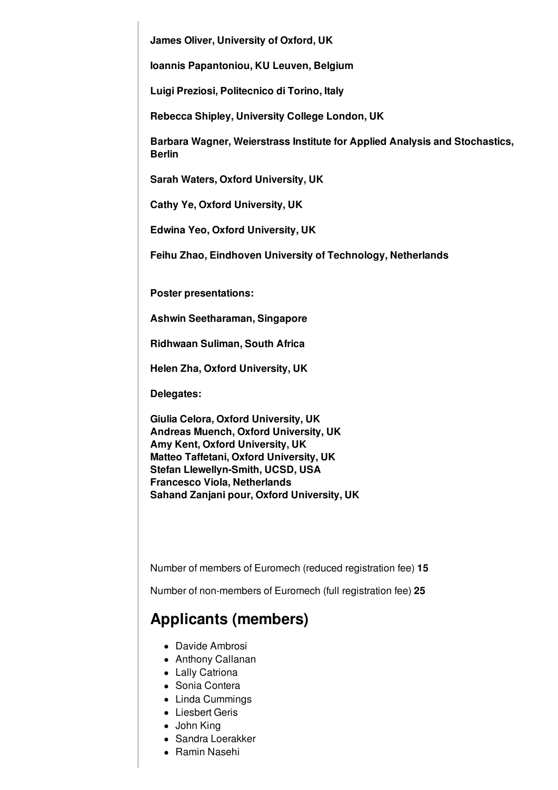**James Oliver, University of Oxford, UK**

**Ioannis Papantoniou, KU Leuven, Belgium**

**Luigi Preziosi, Politecnico di Torino, Italy**

**Rebecca Shipley, University College London, UK**

**Barbara Wagner, Weierstrass Institute for Applied Analysis and Stochastics, Berlin**

**Sarah Waters, Oxford University, UK**

**Cathy Ye, Oxford University, UK**

**Edwina Yeo, Oxford University, UK**

**Feihu Zhao, Eindhoven University of Technology, Netherlands**

**Poster presentations:**

**Ashwin Seetharaman, Singapore**

**Ridhwaan Suliman, South Africa**

**Helen Zha, Oxford University, UK**

**Delegates:**

**Giulia Celora, Oxford University, UK Andreas Muench, Oxford University, UK Amy Kent, Oxford University, UK Matteo Taffetani, Oxford University, UK Stefan Llewellyn-Smith, UCSD, USA Francesco Viola, Netherlands Sahand Zanjani pour, Oxford University, UK**

Number of members of Euromech (reduced registration fee) **15**

Number of non-members of Euromech (full registration fee) **25**

#### **Applicants (members)**

- Davide Ambrosi
- Anthony Callanan
- Lally Catriona
- Sonia Contera
- Linda Cummings
- Liesbert Geris
- John King
- Sandra Loerakker
- Ramin Nasehi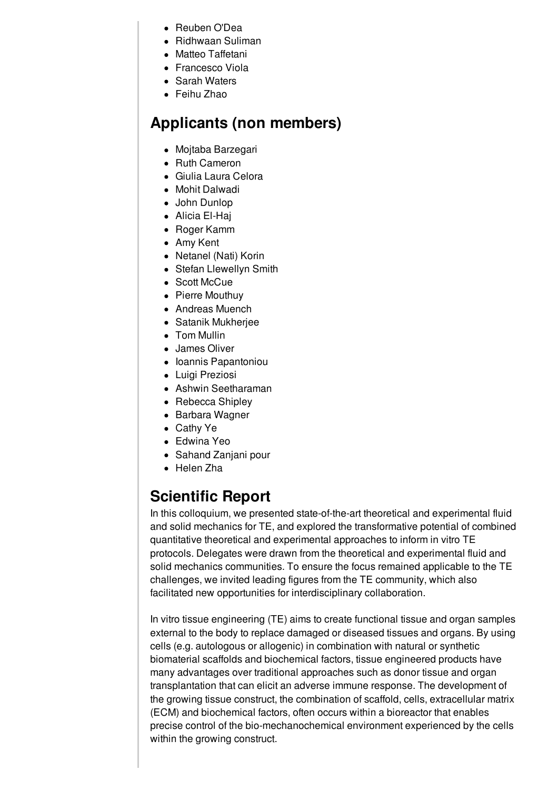- Reuben O'Dea
- Ridhwaan Suliman
- Matteo Taffetani
- Francesco Viola
- Sarah Waters
- Feihu Zhao

## **Applicants (non members)**

- Mojtaba Barzegari
- Ruth Cameron
- Giulia Laura Celora
- Mohit Dalwadi
- John Dunlop
- Alicia El-Haj
- Roger Kamm
- Amy Kent
- Netanel (Nati) Korin
- Stefan Llewellyn Smith
- Scott McCue
- Pierre Mouthuy
- Andreas Muench
- Satanik Mukherjee
- Tom Mullin
- James Oliver
- Ioannis Papantoniou
- Luigi Preziosi
- Ashwin Seetharaman
- Rebecca Shipley
- Barbara Wagner
- Cathy Ye
- Edwina Yeo
- Sahand Zanjani pour
- Helen Zha

## **Scientific Report**

In this colloquium, we presented state-of-the-art theoretical and experimental fluid and solid mechanics for TE, and explored the transformative potential of combined quantitative theoretical and experimental approaches to inform in vitro TE protocols. Delegates were drawn from the theoretical and experimental fluid and solid mechanics communities. To ensure the focus remained applicable to the TE challenges, we invited leading figures from the TE community, which also facilitated new opportunities for interdisciplinary collaboration.

In vitro tissue engineering (TE) aims to create functional tissue and organ samples external to the body to replace damaged or diseased tissues and organs. By using cells (e.g. autologous or allogenic) in combination with natural or synthetic biomaterial scaffolds and biochemical factors, tissue engineered products have many advantages over traditional approaches such as donor tissue and organ transplantation that can elicit an adverse immune response. The development of the growing tissue construct, the combination of scaffold, cells, extracellular matrix (ECM) and biochemical factors, often occurs within a bioreactor that enables precise control of the bio-mechanochemical environment experienced by the cells within the growing construct.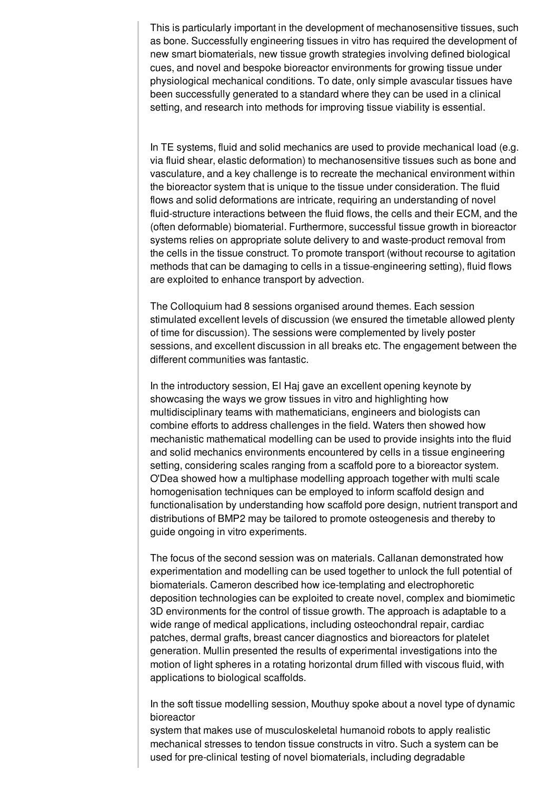This is particularly important in the development of mechanosensitive tissues, such as bone. Successfully engineering tissues in vitro has required the development of new smart biomaterials, new tissue growth strategies involving defined biological cues, and novel and bespoke bioreactor environments for growing tissue under physiological mechanical conditions. To date, only simple avascular tissues have been successfully generated to a standard where they can be used in a clinical setting, and research into methods for improving tissue viability is essential.

In TE systems, fluid and solid mechanics are used to provide mechanical load (e.g. via fluid shear, elastic deformation) to mechanosensitive tissues such as bone and vasculature, and a key challenge is to recreate the mechanical environment within the bioreactor system that is unique to the tissue under consideration. The fluid flows and solid deformations are intricate, requiring an understanding of novel fluid-structure interactions between the fluid flows, the cells and their ECM, and the (often deformable) biomaterial. Furthermore, successful tissue growth in bioreactor systems relies on appropriate solute delivery to and waste-product removal from the cells in the tissue construct. To promote transport (without recourse to agitation methods that can be damaging to cells in a tissue-engineering setting), fluid flows are exploited to enhance transport by advection.

The Colloquium had 8 sessions organised around themes. Each session stimulated excellent levels of discussion (we ensured the timetable allowed plenty of time for discussion). The sessions were complemented by lively poster sessions, and excellent discussion in all breaks etc. The engagement between the different communities was fantastic.

In the introductory session, El Haj gave an excellent opening keynote by showcasing the ways we grow tissues in vitro and highlighting how multidisciplinary teams with mathematicians, engineers and biologists can combine efforts to address challenges in the field. Waters then showed how mechanistic mathematical modelling can be used to provide insights into the fluid and solid mechanics environments encountered by cells in a tissue engineering setting, considering scales ranging from a scaffold pore to a bioreactor system. O'Dea showed how a multiphase modelling approach together with multi scale homogenisation techniques can be employed to inform scaffold design and functionalisation by understanding how scaffold pore design, nutrient transport and distributions of BMP2 may be tailored to promote osteogenesis and thereby to guide ongoing in vitro experiments.

The focus of the second session was on materials. Callanan demonstrated how experimentation and modelling can be used together to unlock the full potential of biomaterials. Cameron described how ice-templating and electrophoretic deposition technologies can be exploited to create novel, complex and biomimetic 3D environments for the control of tissue growth. The approach is adaptable to a wide range of medical applications, including osteochondral repair, cardiac patches, dermal grafts, breast cancer diagnostics and bioreactors for platelet generation. Mullin presented the results of experimental investigations into the motion of light spheres in a rotating horizontal drum filled with viscous fluid, with applications to biological scaffolds.

In the soft tissue modelling session, Mouthuy spoke about a novel type of dynamic bioreactor

system that makes use of musculoskeletal humanoid robots to apply realistic mechanical stresses to tendon tissue constructs in vitro. Such a system can be used for pre-clinical testing of novel biomaterials, including degradable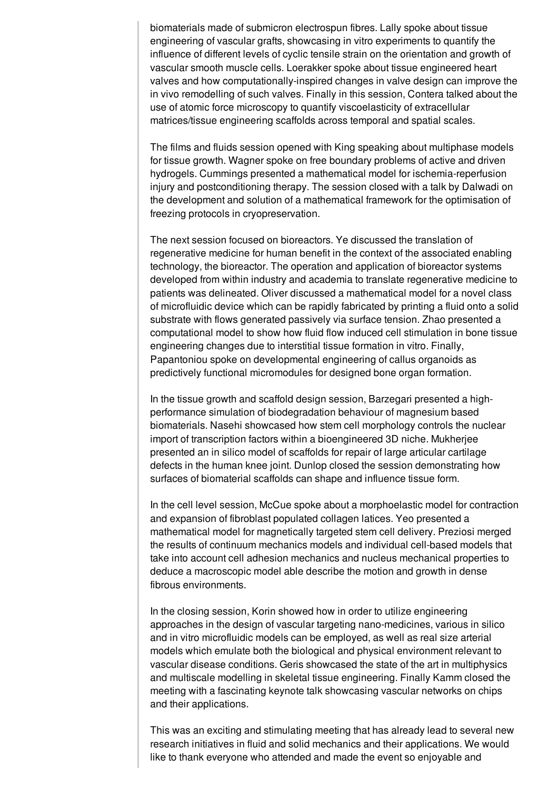biomaterials made of submicron electrospun fibres. Lally spoke about tissue engineering of vascular grafts, showcasing in vitro experiments to quantify the influence of different levels of cyclic tensile strain on the orientation and growth of vascular smooth muscle cells. Loerakker spoke about tissue engineered heart valves and how computationally-inspired changes in valve design can improve the in vivo remodelling of such valves. Finally in this session, Contera talked about the use of atomic force microscopy to quantify viscoelasticity of extracellular matrices/tissue engineering scaffolds across temporal and spatial scales.

The films and fluids session opened with King speaking about multiphase models for tissue growth. Wagner spoke on free boundary problems of active and driven hydrogels. Cummings presented a mathematical model for ischemia-reperfusion injury and postconditioning therapy. The session closed with a talk by Dalwadi on the development and solution of a mathematical framework for the optimisation of freezing protocols in cryopreservation.

The next session focused on bioreactors. Ye discussed the translation of regenerative medicine for human benefit in the context of the associated enabling technology, the bioreactor. The operation and application of bioreactor systems developed from within industry and academia to translate regenerative medicine to patients was delineated. Oliver discussed a mathematical model for a novel class of microfluidic device which can be rapidly fabricated by printing a fluid onto a solid substrate with flows generated passively via surface tension. Zhao presented a computational model to show how fluid flow induced cell stimulation in bone tissue engineering changes due to interstitial tissue formation in vitro. Finally, Papantoniou spoke on developmental engineering of callus organoids as predictively functional micromodules for designed bone organ formation.

In the tissue growth and scaffold design session, Barzegari presented a highperformance simulation of biodegradation behaviour of magnesium based biomaterials. Nasehi showcased how stem cell morphology controls the nuclear import of transcription factors within a bioengineered 3D niche. Mukherjee presented an in silico model of scaffolds for repair of large articular cartilage defects in the human knee joint. Dunlop closed the session demonstrating how surfaces of biomaterial scaffolds can shape and influence tissue form.

In the cell level session, McCue spoke about a morphoelastic model for contraction and expansion of fibroblast populated collagen latices. Yeo presented a mathematical model for magnetically targeted stem cell delivery. Preziosi merged the results of continuum mechanics models and individual cell-based models that take into account cell adhesion mechanics and nucleus mechanical properties to deduce a macroscopic model able describe the motion and growth in dense fibrous environments.

In the closing session, Korin showed how in order to utilize engineering approaches in the design of vascular targeting nano-medicines, various in silico and in vitro microfluidic models can be employed, as well as real size arterial models which emulate both the biological and physical environment relevant to vascular disease conditions. Geris showcased the state of the art in multiphysics and multiscale modelling in skeletal tissue engineering. Finally Kamm closed the meeting with a fascinating keynote talk showcasing vascular networks on chips and their applications.

This was an exciting and stimulating meeting that has already lead to several new research initiatives in fluid and solid mechanics and their applications. We would like to thank everyone who attended and made the event so enjoyable and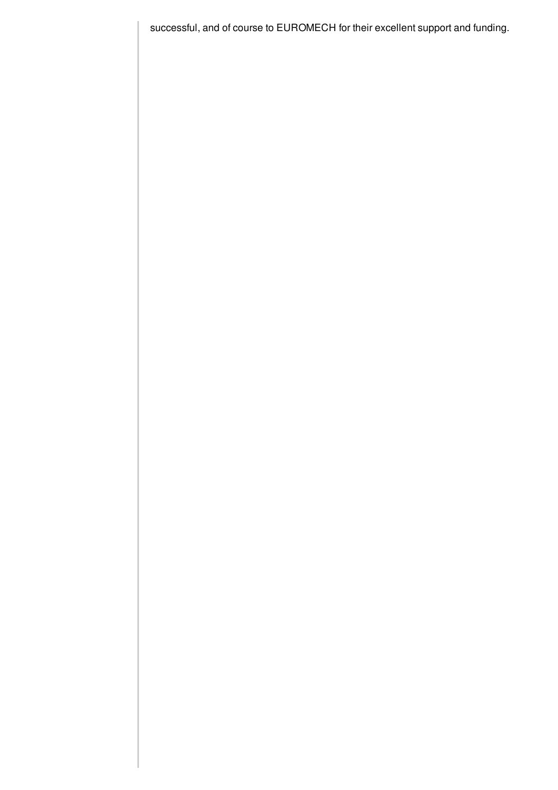successful, and of course to EUROMECH for their excellent support and funding.